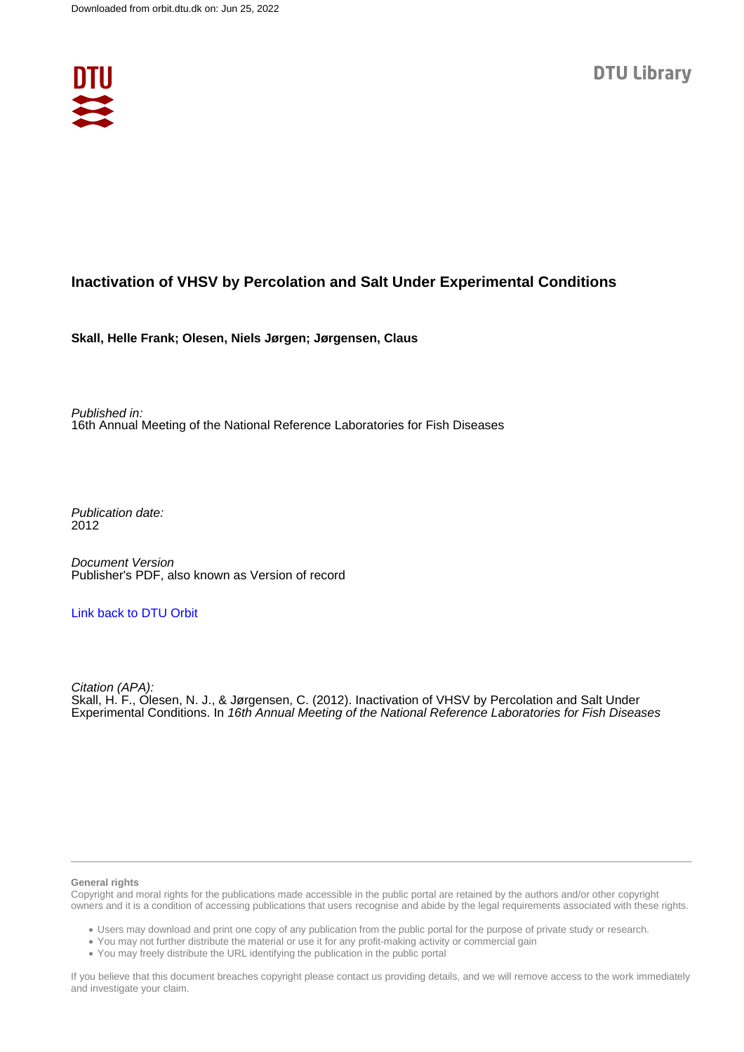

## **Inactivation of VHSV by Percolation and Salt Under Experimental Conditions**

**Skall, Helle Frank; Olesen, Niels Jørgen; Jørgensen, Claus**

Published in: 16th Annual Meeting of the National Reference Laboratories for Fish Diseases

Publication date: 2012

Document Version Publisher's PDF, also known as Version of record

### [Link back to DTU Orbit](https://orbit.dtu.dk/en/publications/57c965fe-8b26-455f-b5c9-fa9756882b45)

Citation (APA): Skall, H. F., Olesen, N. J., & Jørgensen, C. (2012). Inactivation of VHSV by Percolation and Salt Under Experimental Conditions. In 16th Annual Meeting of the National Reference Laboratories for Fish Diseases

#### **General rights**

Copyright and moral rights for the publications made accessible in the public portal are retained by the authors and/or other copyright owners and it is a condition of accessing publications that users recognise and abide by the legal requirements associated with these rights.

Users may download and print one copy of any publication from the public portal for the purpose of private study or research.

- You may not further distribute the material or use it for any profit-making activity or commercial gain
- You may freely distribute the URL identifying the publication in the public portal

If you believe that this document breaches copyright please contact us providing details, and we will remove access to the work immediately and investigate your claim.